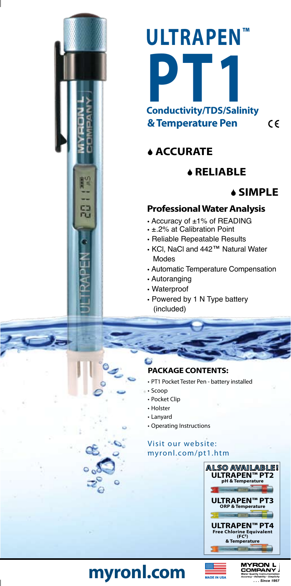# **ULTRAPEN™ P**<br> **Conductivity/TDS/Salinity & Temperature Pen**

**ACCURATE** 

# S **RELIABLE**



#### **Professional Water Analysis**

- Accuracy of ±1% of READING
- ±.2% at Calibration Point
- Reliable Repeatable Results
- KCl, NaCl and 442™ Natural Water Modes
- Automatic Temperature Compensation
- Autoranging
- Waterproof
- Powered by 1 N Type battery (included)
- 

#### **Package Contents:**

- • PT1 Pocket Tester Pen battery installed
- • Scoop
	- • Pocket Clip
	- • Holster
- • Lanyard
- • Operating Instructions

#### Visit our website: myronl.com/pt1.htm



# **myronl.com**



 $\epsilon$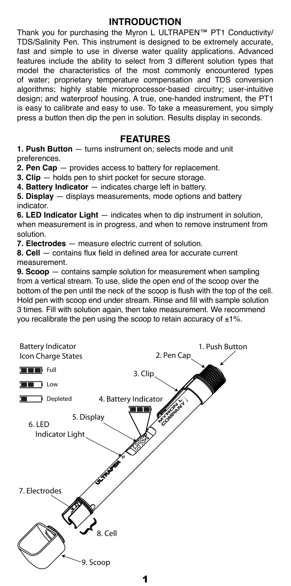#### **INTRODUCTION**

Thank you for purchasing the Myron L ULTRAPEN™ PT1 Conductivity/ TDS/Salinity Pen. This instrument is designed to be extremely accurate, fast and simple to use in diverse water quality applications. Advanced features include the ability to select from 3 different solution types that model the characteristics of the most commonly encountered types of water; proprietary temperature compensation and TDS conversion algorithms; highly stable microprocessor-based circuitry; user-intuitive design; and waterproof housing. A true, one-handed instrument, the PT1 is easy to calibrate and easy to use. To take a measurement, you simply press a button then dip the pen in solution. Results display in seconds.

#### **FEATURES**

**1. Push Button** — turns instrument on; selects mode and unit preferences.

**2. Pen Cap** — provides access to battery for replacement.

**3. Clip** — holds pen to shirt pocket for secure storage.

**4. Battery Indicator** — indicates charge left in battery.

**5. Display** — displays measurements, mode options and battery indicator.

**6. LED Indicator Light** — indicates when to dip instrument in solution, when measurement is in progress, and when to remove instrument from solution.

**7. Electrodes** — measure electric current of solution.

**8. Cell** — contains flux field in defined area for accurate current measurement.

**9. Scoop** — contains sample solution for measurement when sampling from a vertical stream. To use, slide the open end of the scoop over the bottom of the pen until the neck of the scoop is flush with the top of the cell. Hold pen with scoop end under stream. Rinse and fill with sample solution 3 times. Fill with solution again, then take measurement. We recommend you recalibrate the pen using the scoop to retain accuracy of  $\pm 1\%$ .

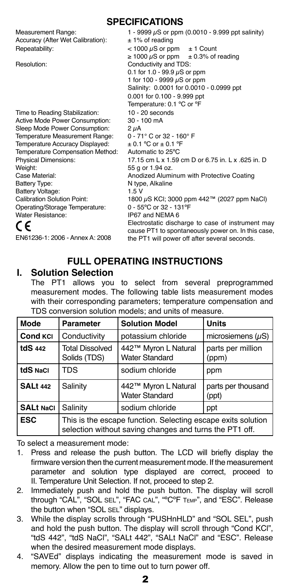**Specifications**

| Measurement Range:<br>Accuracy (After Wet Calibration):<br>Repeatability: | 1 - 9999 $\mu$ S or ppm (0.0010 - 9.999 ppt salinity)<br>$± 1\%$ of reading<br>$<$ 1000 $\mu$ S or ppm<br>$± 1$ Count<br>$\geq 1000 \mu$ S or ppm $\pm 0.3\%$ of reading                              |  |  |
|---------------------------------------------------------------------------|-------------------------------------------------------------------------------------------------------------------------------------------------------------------------------------------------------|--|--|
| Resolution:                                                               | Conductivity and TDS:<br>0.1 for 1.0 - 99.9 $\mu$ S or ppm<br>1 for 100 - 9999 $\mu$ S or ppm<br>Salinity: 0.0001 for 0.0010 - 0.0999 ppt<br>0.001 for 0.100 - 9.999 ppt<br>Temperature: 0.1 °C or °F |  |  |
| Time to Reading Stabilization:                                            | $10 - 20$ seconds                                                                                                                                                                                     |  |  |
| Active Mode Power Consumption:                                            | $30 - 100$ mA                                                                                                                                                                                         |  |  |
| Sleep Mode Power Consumption:                                             | $2 \mu A$                                                                                                                                                                                             |  |  |
| Temperature Measurement Range:                                            | 0 - 71° C or 32 - 160° F                                                                                                                                                                              |  |  |
| Temperature Accuracy Displayed:                                           | $\pm$ 0.1 °C or $\pm$ 0.1 °F                                                                                                                                                                          |  |  |
| Temperature Compensation Method:                                          | Automatic to 25°C                                                                                                                                                                                     |  |  |
| <b>Physical Dimensions:</b>                                               | 17.15 cm L x 1.59 cm D or 6.75 in, L x .625 in, D                                                                                                                                                     |  |  |
| Weight:                                                                   | 55 g or 1.94 oz.                                                                                                                                                                                      |  |  |
| Case Material:                                                            | Anodized Aluminum with Protective Coating                                                                                                                                                             |  |  |
| Battery Type:                                                             | N type, Alkaline                                                                                                                                                                                      |  |  |
| Battery Voltage:                                                          | 1.5V                                                                                                                                                                                                  |  |  |
| <b>Calibration Solution Point:</b>                                        | 1800 µS KCI; 3000 ppm 442™ (2027 ppm NaCI)                                                                                                                                                            |  |  |
| Operating/Storage Temperature:                                            | $0 - 55^{\circ}$ C or 32 - 131 $^{\circ}$ F                                                                                                                                                           |  |  |
| <b>Water Resistance:</b>                                                  | IP67 and NEMA 6                                                                                                                                                                                       |  |  |
| C E                                                                       | Electrostatic discharge to case of instrument may<br>cause PT1 to spontaneously power on. In this case,                                                                                               |  |  |
| EN61236-1: 2006 - Annex A: 2008                                           | the PT1 will power off after several seconds.                                                                                                                                                         |  |  |

# **FULL Operating instructions**

#### **I. Solution Selection**

The PT1 allows you to select from several preprogrammed measurement modes. The following table lists measurement modes with their corresponding parameters; temperature compensation and TDS conversion solution models; and units of measure.

| <b>Mode</b>      | <b>Parameter</b>                                                                                                        | <b>Solution Model</b>                         | <b>Units</b>                |  |
|------------------|-------------------------------------------------------------------------------------------------------------------------|-----------------------------------------------|-----------------------------|--|
| <b>Cond KCI</b>  | Conductivity                                                                                                            | potassium chloride                            | microsiemens $(\mu S)$      |  |
| <b>tdS 442</b>   | <b>Total Dissolved</b><br>Solids (TDS)                                                                                  | 442™ Myron L Natural<br><b>Water Standard</b> | parts per million<br>(ppm)  |  |
| tdS NaCl         | TDS                                                                                                                     | sodium chloride                               | ppm                         |  |
| <b>SALt 442</b>  | Salinity                                                                                                                | 442™ Myron L Natural<br><b>Water Standard</b> | parts per thousand<br>(ppt) |  |
| <b>SALt NaCl</b> | Salinity                                                                                                                | sodium chloride                               | ppt                         |  |
| <b>ESC</b>       | This is the escape function. Selecting escape exits solution<br>selection without saving changes and turns the PT1 off. |                                               |                             |  |

To select a measurement mode:

- 1. Press and release the push button. The LCD will briefly display the firmware version then the current measurement mode. If the measurement parameter and solution type displayed are correct, proceed to II. Temperature Unit Selection. If not, proceed to step 2.
- 2. Immediately push and hold the push button. The display will scroll through "CAL", "SOL SEL", "FAC CAL", "ºCºF TEMP", and "ESC". Release the button when "SOL SEL" displays.
- 3. While the display scrolls through "PUSHnHLD" and "SOL SEL", push and hold the push button. The display will scroll through "Cond KCl", "tdS 442", "tdS NaCl", "SALt 442", "SALt NaCl" and "ESC". Release when the desired measurement mode displays.
- 4. "SAVEd" displays indicating the measurement mode is saved in memory. Allow the pen to time out to turn power off.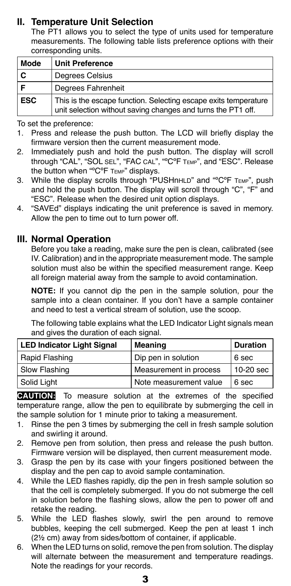## **II. Temperature Unit Selection**

The PT1 allows you to select the type of units used for temperature measurements. The following table lists preference options with their corresponding units.

| Mode       | <b>Unit Preference</b>                                                                                                          |
|------------|---------------------------------------------------------------------------------------------------------------------------------|
|            | <b>Degrees Celsius</b>                                                                                                          |
|            | Degrees Fahrenheit                                                                                                              |
| <b>ESC</b> | This is the escape function. Selecting escape exits temperature<br>unit selection without saving changes and turns the PT1 off. |

To set the preference:

- 1. Press and release the push button. The LCD will briefly display the firmware version then the current measurement mode.
- 2. Immediately push and hold the push button. The display will scroll through "CAL", "SOL SEL", "FAC CAL", "ºCºF TEMP", and "ESC". Release the button when "°C°F TEMP" displays.
- 3. While the display scrolls through "PUSHnHLD" and "°C°F TEMP", push and hold the push button. The display will scroll through "C", "F" and "ESC". Release when the desired unit option displays.
- 4. "SAVEd" displays indicating the unit preference is saved in memory. Allow the pen to time out to turn power off.

#### **III. Normal Operation**

Before you take a reading, make sure the pen is clean, calibrated (see IV. Calibration) and in the appropriate measurement mode. The sample solution must also be within the specified measurement range. Keep all foreign material away from the sample to avoid contamination.

**NOTE:** If you cannot dip the pen in the sample solution, pour the sample into a clean container. If you don't have a sample container and need to test a vertical stream of solution, use the scoop.

The following table explains what the LED Indicator Light signals mean and gives the duration of each signal.

| <b>LED Indicator Light Signal</b> | Meaning                | <b>Duration</b> |
|-----------------------------------|------------------------|-----------------|
| Rapid Flashing                    | Dip pen in solution    | 6 sec           |
| Slow Flashing                     | Measurement in process | 10-20 sec       |
| Solid Light                       | Note measurement value | 6 sec           |

**CAUTION:** To measure solution at the extremes of the specified temperature range, allow the pen to equilibrate by submerging the cell in the sample solution for 1 minute prior to taking a measurement.

- 1. Rinse the pen 3 times by submerging the cell in fresh sample solution and swirling it around.
- 2. Remove pen from solution, then press and release the push button. Firmware version will be displayed, then current measurement mode.
- 3. Grasp the pen by its case with your fingers positioned between the display and the pen cap to avoid sample contamination.
- 4. While the LED flashes rapidly, dip the pen in fresh sample solution so that the cell is completely submerged. If you do not submerge the cell in solution before the flashing slows, allow the pen to power off and retake the reading.
- 5. While the LED flashes slowly, swirl the pen around to remove bubbles, keeping the cell submerged. Keep the pen at least 1 inch (2½ cm) away from sides/bottom of container, if applicable.
- 6. When the LED turns on solid, remove the pen from solution. The display will alternate between the measurement and temperature readings. Note the readings for your records.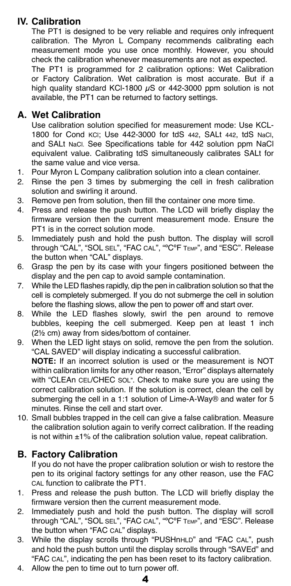# **IV. Calibration**

The PT1 is designed to be very reliable and requires only infrequent calibration. The Myron L Company recommends calibrating each measurement mode you use once monthly. However, you should check the calibration whenever measurements are not as expected. The PT1 is programmed for 2 calibration options: Wet Calibration

or Factory Calibration. Wet calibration is most accurate. But if a high quality standard KCl-1800  $\mu$ S or 442-3000 ppm solution is not available, the PT1 can be returned to factory settings.

#### **A. Wet Calibration**

Use calibration solution specified for measurement mode: Use KCL-1800 for Cond KCl; Use 442-3000 for tdS 442, SALt 442, tdS NaCl, and SALt NaCl. See Specifications table for 442 solution ppm NaCl equivalent value. Calibrating tdS simultaneously calibrates SALt for the same value and vice versa.

- 1. Pour Myron L Company calibration solution into a clean container.
- 2. Rinse the pen 3 times by submerging the cell in fresh calibration solution and swirling it around.
- 3. Remove pen from solution, then fill the container one more time.
- 4. Press and release the push button. The LCD will briefly display the firmware version then the current measurement mode. Ensure the PT1 is in the correct solution mode.
- 5. Immediately push and hold the push button. The display will scroll through "CAL", "SOL SEL", "FAC CAL", "ºCºF TEMP", and "ESC". Release the button when "CAL" displays.
- 6. Grasp the pen by its case with your fingers positioned between the display and the pen cap to avoid sample contamination.
- 7. While the LED flashes rapidly, dip the pen in calibration solution so that the cell is completely submerged. If you do not submerge the cell in solution before the flashing slows, allow the pen to power off and start over.
- 8. While the LED flashes slowly, swirl the pen around to remove bubbles, keeping the cell submerged. Keep pen at least 1 inch (2½ cm) away from sides/bottom of container.
- 9. When the LED light stays on solid, remove the pen from the solution. "CAL SAVED" will display indicating a successful calibration. **NOTE:** If an incorrect solution is used or the measurement is NOT within calibration limits for any other reason, "Error" displays alternately with "CLEAn CEL/CHEC SOL". Check to make sure you are using the correct calibration solution. If the solution is correct, clean the cell by submerging the cell in a 1:1 solution of Lime-A-Way® and water for 5 minutes. Rinse the cell and start over.
- 10. Small bubbles trapped in the cell can give a false calibration. Measure the calibration solution again to verify correct calibration. If the reading is not within  $\pm 1\%$  of the calibration solution value, repeat calibration.

## **B. Factory Calibration**

If you do not have the proper calibration solution or wish to restore the pen to its original factory settings for any other reason, use the FAC CAL function to calibrate the PT1.

- 1. Press and release the push button. The LCD will briefly display the firmware version then the current measurement mode.
- 2. Immediately push and hold the push button. The display will scroll through "CAL", "SOL SEL", "FAC CAL", "ºCºF TEMP", and "ESC". Release the button when "FAC CAL" displays.
- 3. While the display scrolls through "PUSHnHLD" and "FAC CAL", push and hold the push button until the display scrolls through "SAVEd" and "FAC CAL", indicating the pen has been reset to its factory calibration.
- 4. Allow the pen to time out to turn power off.